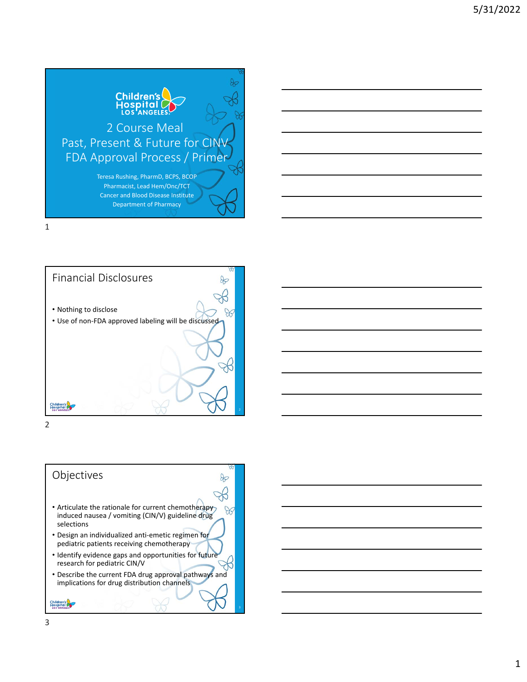





## Objectives

• Articulate the rationale for current chemotherapy induced nausea / vomiting (CIN/V) guideline drug selections

 $\infty$ 

 $\infty$ 

- Design an individualized anti‐emetic regimen for pediatric patients receiving chemotherapy
- Identify evidence gaps and opportunities for future research for pediatric CIN/V
- Describe the current FDA drug approval pathways and implications for drug distribution channels

Children's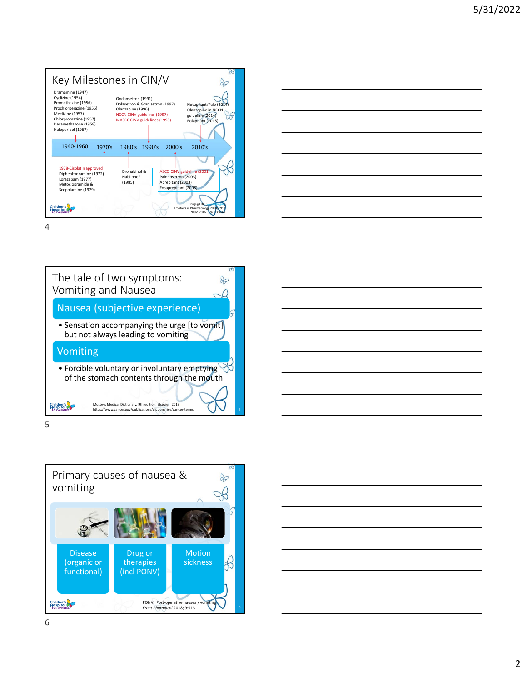







Primary causes of nausea &  $\infty$ vomiting  $\aleph$ Disease Drug or Motion  $\beta$ (organic or therapies sickness functional) (incl PONV)  $\overline{\phantom{a}}$ Children's PONV: Post-operative nausea / *Front Pharmacol* 2018; 9:913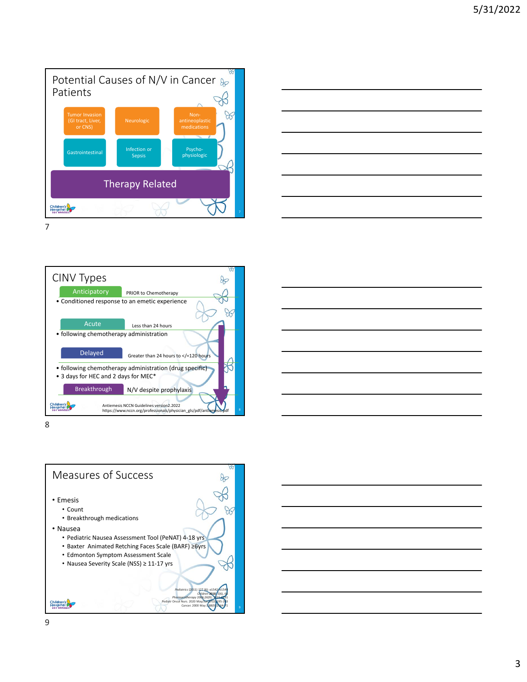







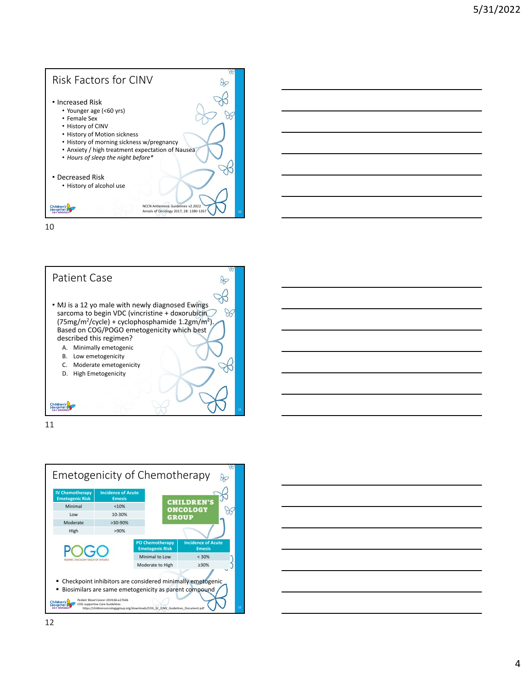







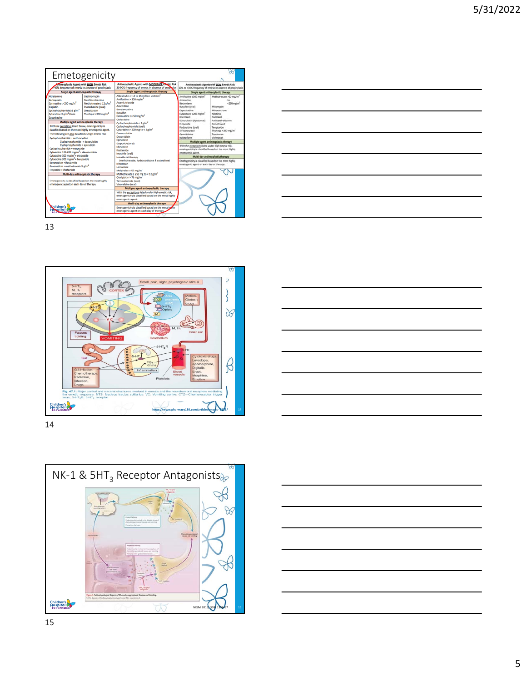| Emetogenicity                                                                                                                                                                                                                                                                                                                                                                                                                                                                                                                                            |                                                                                                                                                                                                                                                                                                                                                              |                                                                                                                                                                                                                                                                                   |                                                                                                                                                                                                                                              |
|----------------------------------------------------------------------------------------------------------------------------------------------------------------------------------------------------------------------------------------------------------------------------------------------------------------------------------------------------------------------------------------------------------------------------------------------------------------------------------------------------------------------------------------------------------|--------------------------------------------------------------------------------------------------------------------------------------------------------------------------------------------------------------------------------------------------------------------------------------------------------------------------------------------------------------|-----------------------------------------------------------------------------------------------------------------------------------------------------------------------------------------------------------------------------------------------------------------------------------|----------------------------------------------------------------------------------------------------------------------------------------------------------------------------------------------------------------------------------------------|
| <b>Intineoplastic Agents with HIGH Emetic Risk</b><br>90% frequency of emesis in absence of prophylaxis                                                                                                                                                                                                                                                                                                                                                                                                                                                  | Antineoplastic Agents with MODERATE Lingtic Risk<br>30-90% frequency of emesis in absence of propositar                                                                                                                                                                                                                                                      | Antineoplastic Agents with LOW Emetic Risk<br>10% to <30% frequency of emesis in absence of prophylaxis                                                                                                                                                                           |                                                                                                                                                                                                                                              |
| Single agent antineoplastic therapy                                                                                                                                                                                                                                                                                                                                                                                                                                                                                                                      | Single agent antineoplastic therapy                                                                                                                                                                                                                                                                                                                          | Single agent antineoplastic therapy                                                                                                                                                                                                                                               |                                                                                                                                                                                                                                              |
| Altretamine<br>Dactinomycin<br>Mechlorethamine<br>Carboplatin<br>Carmustine > 250 mg/m <sup>2</sup><br>Methotrexate ≥ 12 g/m <sup>2</sup><br>Cisolatin<br>Procarbazine (oral)<br>Cyclophosphamide 21 g/m <sup>2</sup><br>Streptozocin<br>Cytarabine 3 g/m <sup>-</sup> /dose<br>Thiotepa ≥ 300 mg/m <sup>2</sup><br><b>Dacarbazine</b><br>Multiple agent antineoplastic therapy<br>With the exceptions listed below, emetogenicity is<br>classified based on the most highly emetogenic agent.<br>The following are also classified as high emetic risk: | Aldesleukin > 12 to 15 million units/m <sup>2</sup><br>Amifostine > $300 \text{ mg/m}^2$<br>Arsenic trioxide<br>Azacitidine<br>Bendamustine<br><b>Rutulfan</b><br>Carmustine ≤ 250 mg/m <sup>2</sup><br>Clofarabine<br>Cyclophosphamide < $1$ $p/m^2$<br>Cyclophosphamide (oral)<br>Cytarabine > 200 mg to < 3 $g/m^2$<br>Daunorubicin<br><b>Doxorubicin</b> | Amifostine ≤300 mg/m <sup>2</sup><br>Amprison<br><b>Besarotene</b><br><b>Busulfan (oral)</b><br>Capecitabine<br>Cytarabine s200 mg/m <sup>2</sup><br>Docetawel<br>Dovorubicin (liposomal)<br>Etoposide<br><b>Fludarabine (oral)</b><br>5-Ruorouracii<br>Gemcitabine<br>Isabeplone | Methotrexate >50 mg/m <sup>2</sup><br><250mg/m <sup>2</sup><br>Mitomytin<br>Mitgaantrone<br>Nilotinih<br>Pacifizant<br>Pacinavel-albumin<br>Pernetreyed<br>Tenizioside<br>Thiotepa <300 mg/m <sup>1</sup><br>Topotecan<br><b>Monivenital</b> |
| Cyclophosphamide + anthracycline<br>Cyclophosphamide + doxorubicin                                                                                                                                                                                                                                                                                                                                                                                                                                                                                       | Epirubicin                                                                                                                                                                                                                                                                                                                                                   | Multiple agent antineoplastic therapy                                                                                                                                                                                                                                             |                                                                                                                                                                                                                                              |
| Cyclophosphamide + epirubicin<br>Cyclophosphamide + etoposide<br>Cytarabine 150-200 mg/m <sup>2</sup> + daunorubicin<br>Cytarabine 300 mg/m <sup>2</sup> + etoposide<br>Cytarabine 300 mg/m <sup>2</sup> + teniposide                                                                                                                                                                                                                                                                                                                                    | <b>Etoposide</b> (oral)<br>Idarubicin<br>Mosfamide<br>Imatinib (oral)<br>Intrathecal therapy<br>(methotrexate, hydrocortisone & cytarabine)<br>Irinotecan<br>Lomuttine<br>Melphalan > 50 mg/m <sup>2</sup>                                                                                                                                                   | With the exceptions listed under high emetic risk,<br>emetogenicity is classified based on the most highly<br>emetogenic agent.<br>Multi-day antineoplastic therapy                                                                                                               |                                                                                                                                                                                                                                              |
| Doxorubicin + ifosfamide<br>Doxorubicin + methotrexate 5 g/m <sup>2</sup><br>Etoposide + ifosfamide                                                                                                                                                                                                                                                                                                                                                                                                                                                      |                                                                                                                                                                                                                                                                                                                                                              | Emetogenicity is classified based on the most highly<br>emetogenic agent on each day of therapy.                                                                                                                                                                                  |                                                                                                                                                                                                                                              |
| Multi-day antineoplastic therapy                                                                                                                                                                                                                                                                                                                                                                                                                                                                                                                         | Methotrexate ≥ 250 mg to < 12 $g/m^2$                                                                                                                                                                                                                                                                                                                        |                                                                                                                                                                                                                                                                                   |                                                                                                                                                                                                                                              |
| Emetogenicity is classified based on the most highly<br>emetogenic agent on each day of therapy.                                                                                                                                                                                                                                                                                                                                                                                                                                                         | Oxaliplatin > 75 mg/m <sup>2</sup><br>Temozolomide (oral)<br>Vinorelbine (oral)                                                                                                                                                                                                                                                                              |                                                                                                                                                                                                                                                                                   |                                                                                                                                                                                                                                              |
|                                                                                                                                                                                                                                                                                                                                                                                                                                                                                                                                                          | Multiple agent antineoplastic therapy<br>With the exceptions listed under high emetic risk,<br>emetogenicity is classified based on the most highly<br>emetogenic agent.                                                                                                                                                                                     |                                                                                                                                                                                                                                                                                   |                                                                                                                                                                                                                                              |
|                                                                                                                                                                                                                                                                                                                                                                                                                                                                                                                                                          | Multi-day antineoplastic therapy                                                                                                                                                                                                                                                                                                                             |                                                                                                                                                                                                                                                                                   |                                                                                                                                                                                                                                              |
| <b>Shildren's</b><br>Hospital                                                                                                                                                                                                                                                                                                                                                                                                                                                                                                                            | Emetogenicity is classified based on the most highly<br>emetogenic agent on each day of therapy.                                                                                                                                                                                                                                                             |                                                                                                                                                                                                                                                                                   |                                                                                                                                                                                                                                              |
|                                                                                                                                                                                                                                                                                                                                                                                                                                                                                                                                                          |                                                                                                                                                                                                                                                                                                                                                              |                                                                                                                                                                                                                                                                                   |                                                                                                                                                                                                                                              |





14



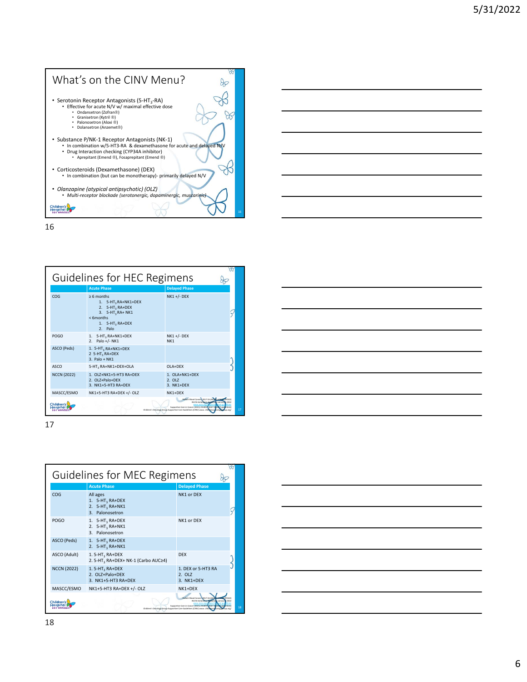



| Guidelines for HEC Regimens                                                                                                                                                                                             |                                                                                                                                                                         |  |                                             |  |
|-------------------------------------------------------------------------------------------------------------------------------------------------------------------------------------------------------------------------|-------------------------------------------------------------------------------------------------------------------------------------------------------------------------|--|---------------------------------------------|--|
|                                                                                                                                                                                                                         | <b>Acute Phase</b>                                                                                                                                                      |  | <b>Delayed Phase</b>                        |  |
| COG                                                                                                                                                                                                                     | $> 6$ months<br>1. 5-HT <sub>3</sub> RA+NK1+DEX<br>2. 5-HT <sub>2</sub> RA+DEX<br>3. 5-HT <sub>2</sub> RA+ NK1<br>$<$ 6months<br>1. 5-HT <sub>3</sub> RA+DEX<br>2. Palo |  | <b>NK1 +/- DEX</b>                          |  |
| <b>POGO</b>                                                                                                                                                                                                             | 1. 5-HT <sub>3</sub> RA+NK1+DEX<br>2. Palo +/- NK1                                                                                                                      |  | <b>NK1 +/- DEX</b><br>NK <sub>1</sub>       |  |
| ASCO (Peds)                                                                                                                                                                                                             | 1. 5-HT <sub>3</sub> RA+NK1+DEX<br>2 5-HT <sub>2</sub> RA+DEX<br>$3.$ Palo + NK1                                                                                        |  |                                             |  |
| ASCO                                                                                                                                                                                                                    | 5-HT <sub>3</sub> RA+NK1+DEX+OLA                                                                                                                                        |  | $OIA+DFX$                                   |  |
| <b>NCCN (2022)</b>                                                                                                                                                                                                      | 1. OI 7+NK1+5-HT3 RA+DFX<br>2. OI 7+Palo+DFX<br>3. NK1+5-HT3 RA+DFX                                                                                                     |  | $1.$ $OIA+NK1+DFX$<br>2.017<br>$3. NK1+DFX$ |  |
| MASCC/ESMO                                                                                                                                                                                                              | NK1+5-HT3 RA+DEX +/- OLZ                                                                                                                                                |  | NK1+DFX                                     |  |
| Pediatr Blood Cancers 2017 Oct: 647001426672 (POSO)<br>Children's<br>Supportive Care in Cancer (2021) 29:8097-8107 DEASEC au<br>Hospita<br>Children's Oncology Group Supportive Care Guidelines (CINV) www. childrensor |                                                                                                                                                                         |  |                                             |  |

| Guidelines for MEC Regimens |                                                                       |                                                                                                                                                                |    |  |
|-----------------------------|-----------------------------------------------------------------------|----------------------------------------------------------------------------------------------------------------------------------------------------------------|----|--|
|                             | <b>Acute Phase</b>                                                    | <b>Delayed Phase</b>                                                                                                                                           |    |  |
| COG                         | All ages<br>1. $5-HT_3RA+DEX$<br>2. $5-HT3 RA+NK1$<br>3. Palonosetron | NK1 or DEX                                                                                                                                                     |    |  |
| <b>POGO</b>                 | 1. $5-HT3 RA+DEX$<br>2. $5-HT3 RA+NK1$<br>3. Palonosetron             | NK1 or DEX                                                                                                                                                     |    |  |
| ASCO (Peds)                 | 1. $5-HT_3$ RA+DEX<br>2. $5-HT3 RA+NK1$                               |                                                                                                                                                                |    |  |
| ASCO (Adult)                | $1.5-HT3 RA+DEX$<br>2.5-HT3 RA+DEX+ NK-1 (Carbo AUC≥4)                | <b>DFX</b>                                                                                                                                                     |    |  |
| <b>NCCN (2022)</b>          | $1.5-HT3 RA+DEX$<br>2. OLZ+Palo+DEX<br>3. NK1+5-HT3 RA+DEX            | 1. DEX or 5-HT3 RA<br>2. OLZ<br>$3. NK1+DFX$                                                                                                                   |    |  |
| MASCC/ESMO                  | NK1+5-HT3 RA+DEX +/- OLZ                                              | $NK1+DFX$                                                                                                                                                      |    |  |
| Children's                  |                                                                       | Pediatr Blood Cancer (2017 Oct:<br>Supportive Care in Cancer (2021) 29:8097-8107<br>Children's Oncology Group Supportive Care Guidelines (CINV) www.childrenig | 18 |  |

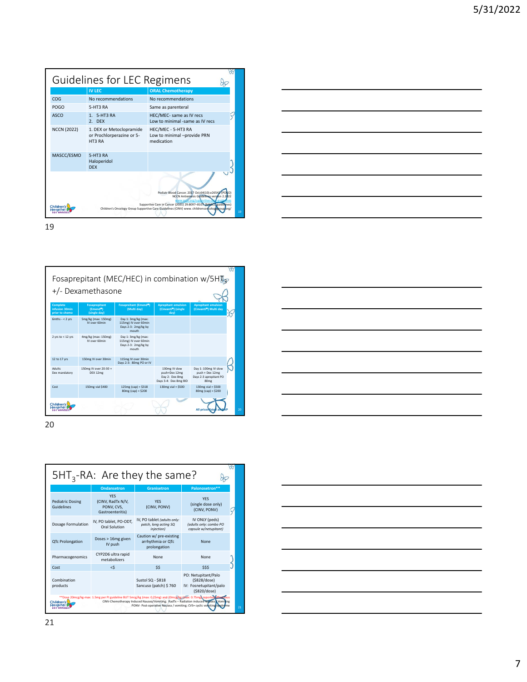| Guidelines for LEC Regimens                                                                                                                                                                                                                                                                                           |                                                                 |                                                                 |  |  |  |  |
|-----------------------------------------------------------------------------------------------------------------------------------------------------------------------------------------------------------------------------------------------------------------------------------------------------------------------|-----------------------------------------------------------------|-----------------------------------------------------------------|--|--|--|--|
|                                                                                                                                                                                                                                                                                                                       | <b>IV LEC</b>                                                   | <b>ORAL Chemotherapy</b>                                        |  |  |  |  |
| COG                                                                                                                                                                                                                                                                                                                   | No recommendations                                              | No recommendations                                              |  |  |  |  |
| <b>POGO</b>                                                                                                                                                                                                                                                                                                           | 5-HT3 RA                                                        | Same as parenteral                                              |  |  |  |  |
| ASCO                                                                                                                                                                                                                                                                                                                  | 1. 5-HT3 RA<br>2. DFX                                           | HEC/MEC- same as IV recs<br>Low to minimal -same as IV recs     |  |  |  |  |
| <b>NCCN (2022)</b>                                                                                                                                                                                                                                                                                                    | 1. DEX or Metoclopramide<br>or Prochlorperazine or 5-<br>HT3 RA | HEC/MEC - 5-HT3 RA<br>Low to minimal -provide PRN<br>medication |  |  |  |  |
| MASCC/ESMO                                                                                                                                                                                                                                                                                                            | 5-HT3 RA<br>Haloperidol<br><b>DEX</b>                           |                                                                 |  |  |  |  |
| Pediatr Blood Cancer. 2017 Oct;64(10):e26542 (POGO)<br>NCCN Antiemesis Guidelines version 2.2022<br>www.asco.org/suphortive-ca<br>Supportive Care in Cancer (2021) 29:8097-8107 (MASCO guidelines)<br>Children<br>Children's Oncology Group Supportive Care Guidelines (CINV) www. childrenson cology gouplorg/<br>19 |                                                                 |                                                                 |  |  |  |  |







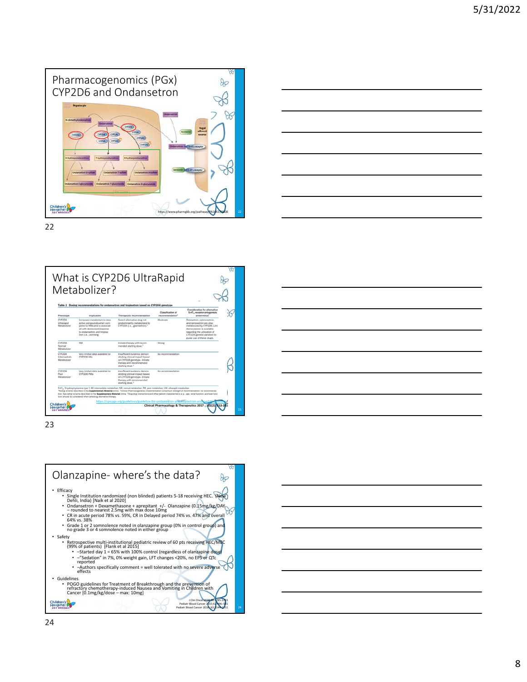







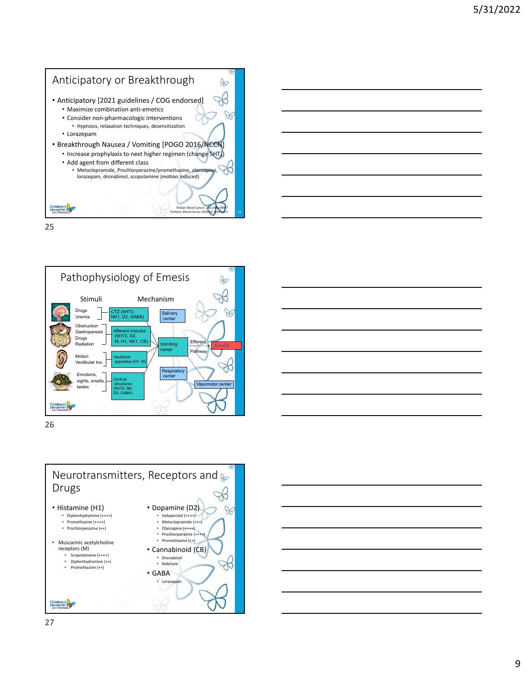



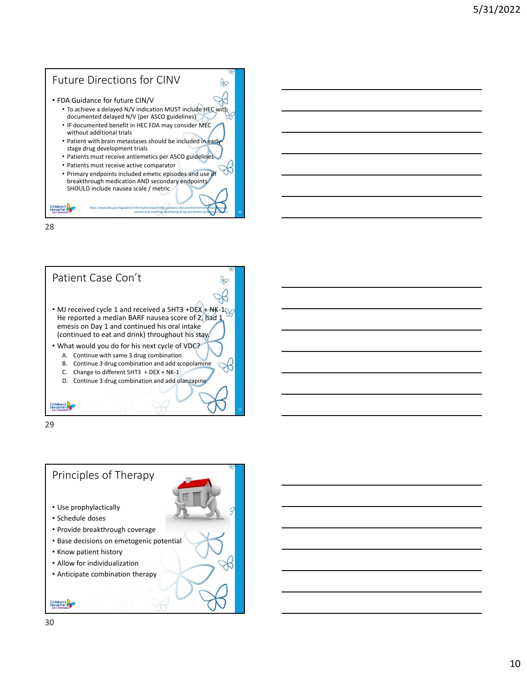## Future Directions for CINV  $\infty$ • FDA Guidance for future CIN/V ີ • To achieve a delayed N/V indication MUST include HEC with documented delayed N/V (per ASCO guidelines) • IF documented benefit in HEC FDA may consider MEC without additional trials • Patient with brain metastases should be included in early stage drug development trials • Patients must receive antiemetics per ASCO guidelines • Patients must receive active comparator • Primary endpoints included emetic episodes and use of breakthrough medication AND secondary endpoints SHOULD include nausea scale / metric Children's<br>Hospital https://www.fda.gov/regulatory-information/search-fda-guidance-documents/chemotherapy●inducednausea‐and‐vomiting‐developing‐drugs‐prevention‐guidance‐industry

28



29

Children's

## • Use prophylactically • Schedule doses Principles of Therapy

- Provide breakthrough coverage
- Base decisions on emetogenic potential
- Know patient history
- Allow for individualization
- Anticipate combination therapy

Children's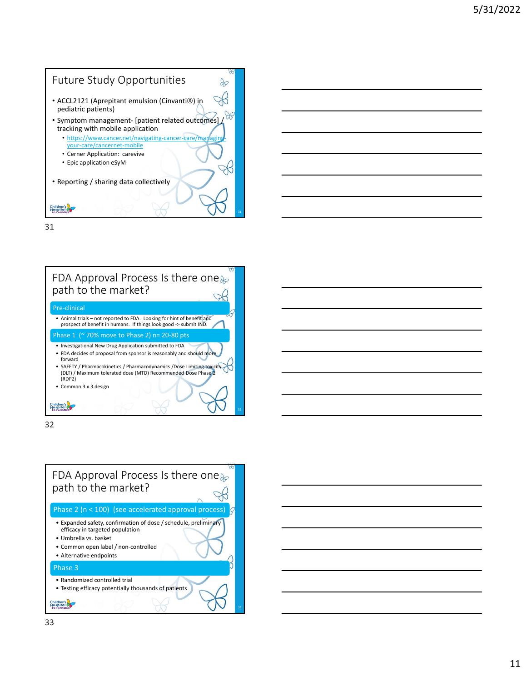





32

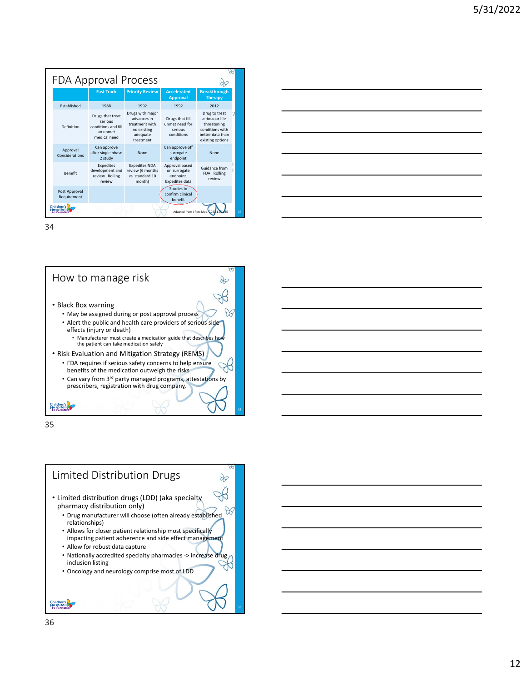| <b>FDA Approval Process</b>                     |                              |                                                                                |                                                                                           |                                                               |                                                                                                             |  |
|-------------------------------------------------|------------------------------|--------------------------------------------------------------------------------|-------------------------------------------------------------------------------------------|---------------------------------------------------------------|-------------------------------------------------------------------------------------------------------------|--|
|                                                 |                              | <b>Fast Track</b>                                                              | <b>Priority Review</b>                                                                    | <b>Accelerated</b><br><b>Approval</b>                         | <b>Breakthrough</b><br><b>Therapy</b>                                                                       |  |
|                                                 | <b>Fstablished</b>           | 1988                                                                           | 1992                                                                                      | 1992                                                          | 2012                                                                                                        |  |
|                                                 | Definition                   | Drugs that treat<br>serious<br>conditions and fill<br>an unmet<br>medical need | Drugs with major<br>advances in<br>treatment with<br>no existing<br>adequate<br>treatment | Drugs that fill<br>unmet need for<br>serious<br>conditions    | Drug to treat<br>serious or life-<br>threatening<br>conditions with<br>better data than<br>existing options |  |
|                                                 | Approval<br>Considerations   | Can approve<br>after single phase<br>2 study                                   | None                                                                                      | Can approve off<br>surrogate<br>endpoint                      | None                                                                                                        |  |
|                                                 | <b>Benefit</b>               | Expedites<br>development and<br>review. Rolling<br>review                      | <b>Expedites NDA</b><br>review (6 months<br>vs. standard 10<br>month)                     | Approval based<br>on surrogate<br>endpoint.<br>Expedites data | Guidance from<br>FDA. Rolling<br>review                                                                     |  |
|                                                 | Post Approval<br>Requirement |                                                                                |                                                                                           | Studies to<br>confirm clinical<br>benefit                     |                                                                                                             |  |
| Children's<br>34<br>Adapted from J Pers Med. 20 |                              |                                                                                |                                                                                           |                                                               |                                                                                                             |  |

| <u> 1989 - Johann Stein, marwolaethau a bhann an t-Alban ann an t-Alban an t-Alban ann an t-Alban an t-Alban ann a</u> |                                                                                                                  |  |  |
|------------------------------------------------------------------------------------------------------------------------|------------------------------------------------------------------------------------------------------------------|--|--|
| <u> 1989 - Johann Stoff, deutscher Stoff, der Stoff, der Stoff, der Stoff, der Stoff, der Stoff, der Stoff, der S</u>  |                                                                                                                  |  |  |
|                                                                                                                        |                                                                                                                  |  |  |
|                                                                                                                        |                                                                                                                  |  |  |
| <u> 1989 - Andrea Station Barbara, actor a component de la componentación de la componentación de la componentaci</u>  |                                                                                                                  |  |  |
|                                                                                                                        | and the control of the control of the control of the control of the control of the control of the control of the |  |  |